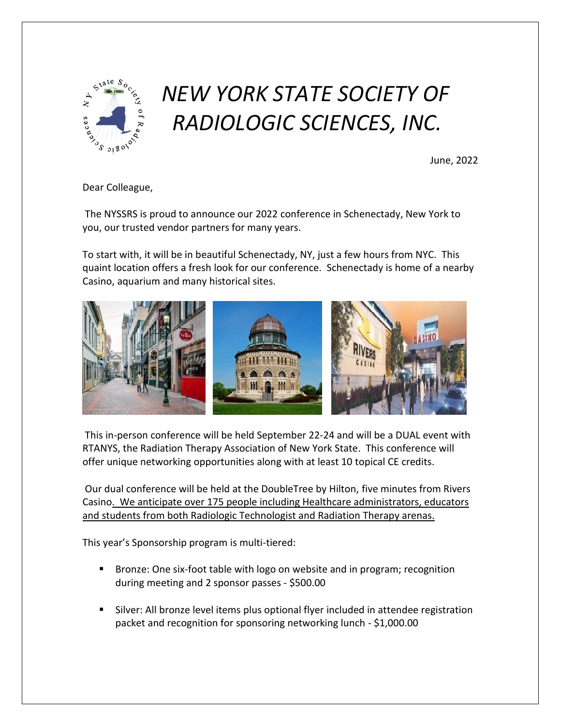

## *NEW YORK STATE SOCIETY OF RADIOLOGIC SCIENCES, INC.*

June, 2022

Dear Colleague,

The NYSSRS is proud to announce our 2022 conference in Schenectady, New York to you, our trusted vendor partners for many years.

To start with, it will be in beautiful Schenectady, NY, just a few hours from NYC. This quaint location offers a fresh look for our conference. Schenectady is home of a nearby Casino, aquarium and many historical sites.



This in-person conference will be held September 22-24 and will be a DUAL event with RTANYS, the Radiation Therapy Association of New York State. This conference will offer unique networking opportunities along with at least 10 topical CE credits.

Our dual conference will be held at the DoubleTree by Hilton, five minutes from Rivers Casino. We anticipate over 175 people including Healthcare administrators, educators and students from both Radiologic Technologist and Radiation Therapy arenas.

This year's Sponsorship program is multi-tiered:

- Bronze: One six-foot table with logo on website and in program; recognition during meeting and 2 sponsor passes - \$500.00
- Silver: All bronze level items plus optional flyer included in attendee registration packet and recognition for sponsoring networking lunch - \$1,000.00